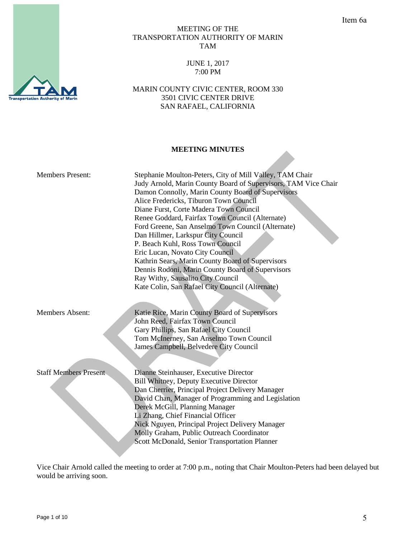# MEETING OF THE TRANSPORTATION AUTHORITY OF MARIN TAM

### JUNE 1, 2017 7:00 PM

MARIN COUNTY CIVIC CENTER, ROOM 330 3501 CIVIC CENTER DRIVE SAN RAFAEL, CALIFORNIA

# **MEETING MINUTES**

| <b>Members Present:</b>      | Stephanie Moulton-Peters, City of Mill Valley, TAM Chair<br>Judy Arnold, Marin County Board of Supervisors, TAM Vice Chair<br>Damon Connolly, Marin County Board of Supervisors<br>Alice Fredericks, Tiburon Town Council<br>Diane Furst, Corte Madera Town Council<br>Renee Goddard, Fairfax Town Council (Alternate)<br>Ford Greene, San Anselmo Town Council (Alternate)<br>Dan Hillmer, Larkspur City Council<br>P. Beach Kuhl, Ross Town Council<br>Eric Lucan, Novato City Council<br>Kathrin Sears, Marin County Board of Supervisors<br>Dennis Rodoni, Marin County Board of Supervisors<br>Ray Withy, Sausalito City Council<br>Kate Colin, San Rafael City Council (Alternate) |
|------------------------------|------------------------------------------------------------------------------------------------------------------------------------------------------------------------------------------------------------------------------------------------------------------------------------------------------------------------------------------------------------------------------------------------------------------------------------------------------------------------------------------------------------------------------------------------------------------------------------------------------------------------------------------------------------------------------------------|
| <b>Members Absent:</b>       | Katie Rice, Marin County Board of Supervisors<br>John Reed, Fairfax Town Council<br>Gary Phillips, San Rafael City Council<br>Tom McInerney, San Anselmo Town Council<br>James Campbell, Belvedere City Council                                                                                                                                                                                                                                                                                                                                                                                                                                                                          |
| <b>Staff Members Present</b> | Dianne Steinhauser, Executive Director<br><b>Bill Whitney, Deputy Executive Director</b><br>Dan Cherrier, Principal Project Delivery Manager<br>David Chan, Manager of Programming and Legislation<br>Derek McGill, Planning Manager<br>Li Zhang, Chief Financial Officer<br>Nick Nguyen, Principal Project Delivery Manager<br>Molly Graham, Public Outreach Coordinator<br>Scott McDonald, Senior Transportation Planner                                                                                                                                                                                                                                                               |

Vice Chair Arnold called the meeting to order at 7:00 p.m., noting that Chair Moulton-Peters had been delayed but would be arriving soon.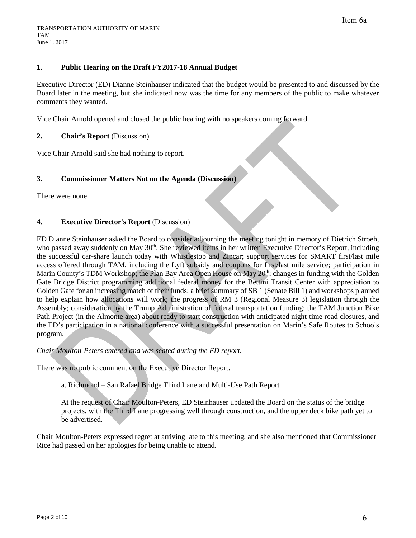# **1. Public Hearing on the Draft FY2017-18 Annual Budget**

Executive Director (ED) Dianne Steinhauser indicated that the budget would be presented to and discussed by the Board later in the meeting, but she indicated now was the time for any members of the public to make whatever comments they wanted.

Vice Chair Arnold opened and closed the public hearing with no speakers coming forward.

### **2. Chair's Report** (Discussion)

Vice Chair Arnold said she had nothing to report.

## **3. Commissioner Matters Not on the Agenda (Discussion)**

There were none.

## **4. Executive Director's Report** (Discussion)

ED Dianne Steinhauser asked the Board to consider adjourning the meeting tonight in memory of Dietrich Stroeh, who passed away suddenly on May 30<sup>th</sup>. She reviewed items in her written Executive Director's Report, including the successful car-share launch today with Whistlestop and Zipcar; support services for SMART first/last mile access offered through TAM, including the Lyft subsidy and coupons for first/last mile service; participation in Marin County's TDM Workshop; the Plan Bay Area Open House on May 20<sup>th</sup>; changes in funding with the Golden Gate Bridge District programming additional federal money for the Bettini Transit Center with appreciation to Golden Gate for an increasing match of their funds; a brief summary of SB 1 (Senate Bill 1) and workshops planned to help explain how allocations will work; the progress of RM 3 (Regional Measure 3) legislation through the Assembly; consideration by the Trump Administration of federal transportation funding; the TAM Junction Bike Path Project (in the Almonte area) about ready to start construction with anticipated night-time road closures, and the ED's participation in a national conference with a successful presentation on Marin's Safe Routes to Schools program.

### *Chair Moulton-Peters entered and was seated during the ED report.*

There was no public comment on the Executive Director Report.

a. Richmond – San Rafael Bridge Third Lane and Multi-Use Path Report

At the request of Chair Moulton-Peters, ED Steinhauser updated the Board on the status of the bridge projects, with the Third Lane progressing well through construction, and the upper deck bike path yet to be advertised.

Chair Moulton-Peters expressed regret at arriving late to this meeting, and she also mentioned that Commissioner Rice had passed on her apologies for being unable to attend.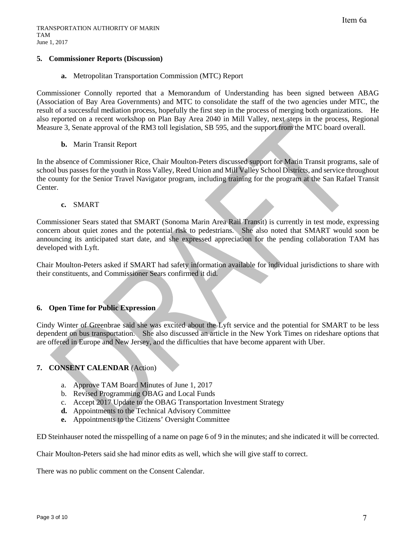### **5. Commissioner Reports (Discussion)**

#### **a.** Metropolitan Transportation Commission (MTC) Report

Commissioner Connolly reported that a Memorandum of Understanding has been signed between ABAG (Association of Bay Area Governments) and MTC to consolidate the staff of the two agencies under MTC, the result of a successful mediation process, hopefully the first step in the process of merging both organizations. He also reported on a recent workshop on Plan Bay Area 2040 in Mill Valley, next steps in the process, Regional Measure 3, Senate approval of the RM3 toll legislation, SB 595, and the support from the MTC board overall.

#### **b.** Marin Transit Report

In the absence of Commissioner Rice, Chair Moulton-Peters discussed support for Marin Transit programs, sale of school bus passes for the youth in Ross Valley, Reed Union and Mill Valley School Districts, and service throughout the county for the Senior Travel Navigator program, including training for the program at the San Rafael Transit Center.

#### **c.** SMART

Commissioner Sears stated that SMART (Sonoma Marin Area Rail Transit) is currently in test mode, expressing concern about quiet zones and the potential risk to pedestrians. She also noted that SMART would soon be announcing its anticipated start date, and she expressed appreciation for the pending collaboration TAM has developed with Lyft.

Chair Moulton-Peters asked if SMART had safety information available for individual jurisdictions to share with their constituents, and Commissioner Sears confirmed it did.

### **6. Open Time for Public Expression**

Cindy Winter of Greenbrae said she was excited about the Lyft service and the potential for SMART to be less dependent on bus transportation. She also discussed an article in the New York Times on rideshare options that are offered in Europe and New Jersey, and the difficulties that have become apparent with Uber.

### **7. CONSENT CALENDAR** (Action)

- a. Approve TAM Board Minutes of June 1, 2017
- b. Revised Programming OBAG and Local Funds
- c. Accept 2017 Update to the OBAG Transportation Investment Strategy
- **d.** Appointments to the Technical Advisory Committee
- **e.** Appointments to the Citizens' Oversight Committee

ED Steinhauser noted the misspelling of a name on page 6 of 9 in the minutes; and she indicated it will be corrected.

Chair Moulton-Peters said she had minor edits as well, which she will give staff to correct.

There was no public comment on the Consent Calendar.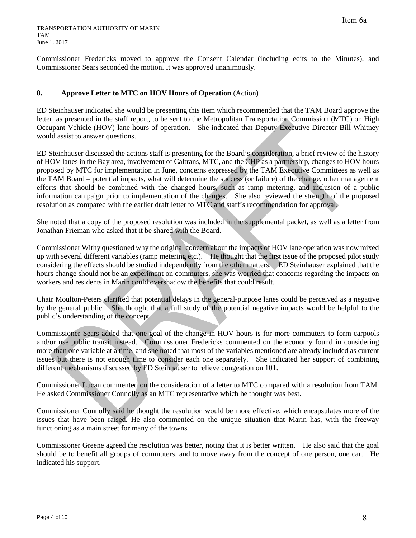Commissioner Fredericks moved to approve the Consent Calendar (including edits to the Minutes), and Commissioner Sears seconded the motion. It was approved unanimously.

# **8. Approve Letter to MTC on HOV Hours of Operation** (Action)

ED Steinhauser indicated she would be presenting this item which recommended that the TAM Board approve the letter, as presented in the staff report, to be sent to the Metropolitan Transportation Commission (MTC) on High Occupant Vehicle (HOV) lane hours of operation. She indicated that Deputy Executive Director Bill Whitney would assist to answer questions.

ED Steinhauser discussed the actions staff is presenting for the Board's consideration, a brief review of the history of HOV lanes in the Bay area, involvement of Caltrans, MTC, and the CHP as a partnership, changes to HOV hours proposed by MTC for implementation in June, concerns expressed by the TAM Executive Committees as well as the TAM Board – potential impacts, what will determine the success (or failure) of the change, other management efforts that should be combined with the changed hours, such as ramp metering, and inclusion of a public information campaign prior to implementation of the changes. She also reviewed the strength of the proposed resolution as compared with the earlier draft letter to MTC and staff's recommendation for approval.

She noted that a copy of the proposed resolution was included in the supplemental packet, as well as a letter from Jonathan Frieman who asked that it be shared with the Board.

Commissioner Withy questioned why the original concern about the impacts of HOV lane operation was now mixed up with several different variables (ramp metering etc.). He thought that the first issue of the proposed pilot study considering the effects should be studied independently from the other matters. ED Steinhauser explained that the hours change should not be an experiment on commuters, she was worried that concerns regarding the impacts on workers and residents in Marin could overshadow the benefits that could result.

Chair Moulton-Peters clarified that potential delays in the general-purpose lanes could be perceived as a negative by the general public. She thought that a full study of the potential negative impacts would be helpful to the public's understanding of the concept.

Commissioner Sears added that one goal of the change in HOV hours is for more commuters to form carpools and/or use public transit instead. Commissioner Fredericks commented on the economy found in considering more than one variable at a time, and she noted that most of the variables mentioned are already included as current issues but there is not enough time to consider each one separately. She indicated her support of combining different mechanisms discussed by ED Steinhauser to relieve congestion on 101.

Commissioner Lucan commented on the consideration of a letter to MTC compared with a resolution from TAM. He asked Commissioner Connolly as an MTC representative which he thought was best.

Commissioner Connolly said he thought the resolution would be more effective, which encapsulates more of the issues that have been raised. He also commented on the unique situation that Marin has, with the freeway functioning as a main street for many of the towns.

Commissioner Greene agreed the resolution was better, noting that it is better written. He also said that the goal should be to benefit all groups of commuters, and to move away from the concept of one person, one car. He indicated his support.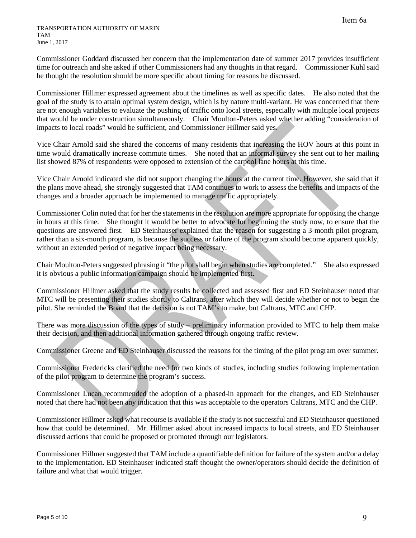Commissioner Goddard discussed her concern that the implementation date of summer 2017 provides insufficient time for outreach and she asked if other Commissioners had any thoughts in that regard. Commissioner Kuhl said he thought the resolution should be more specific about timing for reasons he discussed.

Commissioner Hillmer expressed agreement about the timelines as well as specific dates. He also noted that the goal of the study is to attain optimal system design, which is by nature multi-variant. He was concerned that there are not enough variables to evaluate the pushing of traffic onto local streets, especially with multiple local projects that would be under construction simultaneously. Chair Moulton-Peters asked whether adding "consideration of impacts to local roads" would be sufficient, and Commissioner Hillmer said yes.

Vice Chair Arnold said she shared the concerns of many residents that increasing the HOV hours at this point in time would dramatically increase commute times. She noted that an informal survey she sent out to her mailing list showed 87% of respondents were opposed to extension of the carpool lane hours at this time.

Vice Chair Arnold indicated she did not support changing the hours at the current time. However, she said that if the plans move ahead, she strongly suggested that TAM continues to work to assess the benefits and impacts of the changes and a broader approach be implemented to manage traffic appropriately.

Commissioner Colin noted that for her the statements in the resolution are more appropriate for opposing the change in hours at this time. She thought it would be better to advocate for beginning the study now, to ensure that the questions are answered first. ED Steinhauser explained that the reason for suggesting a 3-month pilot program, rather than a six-month program, is because the success or failure of the program should become apparent quickly, without an extended period of negative impact being necessary.

Chair Moulton-Peters suggested phrasing it "the pilot shall begin when studies are completed." She also expressed it is obvious a public information campaign should be implemented first.

Commissioner Hillmer asked that the study results be collected and assessed first and ED Steinhauser noted that MTC will be presenting their studies shortly to Caltrans, after which they will decide whether or not to begin the pilot. She reminded the Board that the decision is not TAM's to make, but Caltrans, MTC and CHP.

There was more discussion of the types of study – preliminary information provided to MTC to help them make their decision, and then additional information gathered through ongoing traffic review.

Commissioner Greene and ED Steinhauser discussed the reasons for the timing of the pilot program over summer.

Commissioner Fredericks clarified the need for two kinds of studies, including studies following implementation of the pilot program to determine the program's success.

Commissioner Lucan recommended the adoption of a phased-in approach for the changes, and ED Steinhauser noted that there had not been any indication that this was acceptable to the operators Caltrans, MTC and the CHP.

Commissioner Hillmer asked what recourse is available if the study is not successful and ED Steinhauser questioned how that could be determined. Mr. Hillmer asked about increased impacts to local streets, and ED Steinhauser discussed actions that could be proposed or promoted through our legislators.

Commissioner Hillmer suggested that TAM include a quantifiable definition for failure of the system and/or a delay to the implementation. ED Steinhauser indicated staff thought the owner/operators should decide the definition of failure and what that would trigger.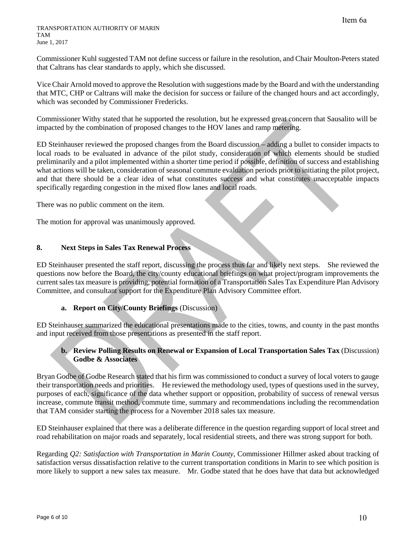#### TRANSPORTATION AUTHORITY OF MARIN **TAM** June 1, 2017

Commissioner Kuhl suggested TAM not define success or failure in the resolution, and Chair Moulton-Peters stated that Caltrans has clear standards to apply, which she discussed.

Vice Chair Arnold moved to approve the Resolution with suggestions made by the Board and with the understanding that MTC, CHP or Caltrans will make the decision for success or failure of the changed hours and act accordingly, which was seconded by Commissioner Fredericks.

Commissioner Withy stated that he supported the resolution, but he expressed great concern that Sausalito will be impacted by the combination of proposed changes to the HOV lanes and ramp metering.

ED Steinhauser reviewed the proposed changes from the Board discussion – adding a bullet to consider impacts to local roads to be evaluated in advance of the pilot study, consideration of which elements should be studied preliminarily and a pilot implemented within a shorter time period if possible, definition of success and establishing what actions will be taken, consideration of seasonal commute evaluation periods prior to initiating the pilot project, and that there should be a clear idea of what constitutes success and what constitutes unacceptable impacts specifically regarding congestion in the mixed flow lanes and local roads.

There was no public comment on the item.

The motion for approval was unanimously approved.

### **8. Next Steps in Sales Tax Renewal Process**

ED Steinhauser presented the staff report, discussing the process thus far and likely next steps. She reviewed the questions now before the Board, the city/county educational briefings on what project/program improvements the current sales tax measure is providing, potential formation of a Transportation Sales Tax Expenditure Plan Advisory Committee, and consultant support for the Expenditure Plan Advisory Committee effort.

# **a. Report on City/County Briefings** (Discussion)

ED Steinhauser summarized the educational presentations made to the cities, towns, and county in the past months and input received from those presentations as presented in the staff report.

# **b. Review Polling Results on Renewal or Expansion of Local Transportation Sales Tax** (Discussion) **Godbe & Associates**

Bryan Godbe of Godbe Research stated that his firm was commissioned to conduct a survey of local voters to gauge their transportation needs and priorities. He reviewed the methodology used, types of questions used in the survey, purposes of each, significance of the data whether support or opposition, probability of success of renewal versus increase, commute transit method, commute time, summary and recommendations including the recommendation that TAM consider starting the process for a November 2018 sales tax measure.

ED Steinhauser explained that there was a deliberate difference in the question regarding support of local street and road rehabilitation on major roads and separately, local residential streets, and there was strong support for both.

Regarding *Q2: Satisfaction with Transportation in Marin County*, Commissioner Hillmer asked about tracking of satisfaction versus dissatisfaction relative to the current transportation conditions in Marin to see which position is more likely to support a new sales tax measure. Mr. Godbe stated that he does have that data but acknowledged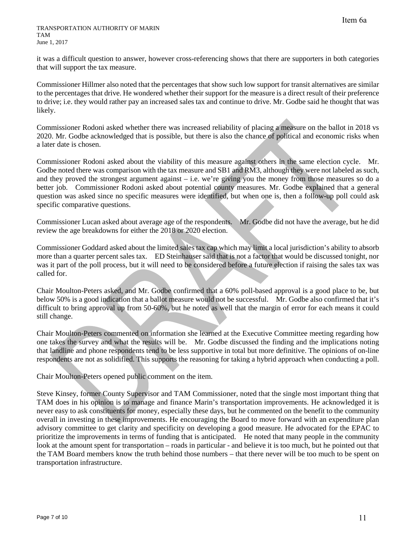it was a difficult question to answer, however cross-referencing shows that there are supporters in both categories that will support the tax measure.

Commissioner Hillmer also noted that the percentages that show such low support for transit alternatives are similar to the percentages that drive. He wondered whether their support for the measure is a direct result of their preference to drive; i.e. they would rather pay an increased sales tax and continue to drive. Mr. Godbe said he thought that was likely.

Commissioner Rodoni asked whether there was increased reliability of placing a measure on the ballot in 2018 vs 2020. Mr. Godbe acknowledged that is possible, but there is also the chance of political and economic risks when a later date is chosen.

Commissioner Rodoni asked about the viability of this measure against others in the same election cycle. Mr. Godbe noted there was comparison with the tax measure and SB1 and RM3, although they were not labeled as such, and they proved the strongest argument against – i.e. we're giving you the money from those measures so do a better job. Commissioner Rodoni asked about potential county measures. Mr. Godbe explained that a general question was asked since no specific measures were identified, but when one is, then a follow-up poll could ask specific comparative questions.

Commissioner Lucan asked about average age of the respondents. Mr. Godbe did not have the average, but he did review the age breakdowns for either the 2018 or 2020 election.

Commissioner Goddard asked about the limited sales tax cap which may limit a local jurisdiction's ability to absorb more than a quarter percent sales tax. ED Steinhauser said that is not a factor that would be discussed tonight, nor was it part of the poll process, but it will need to be considered before a future election if raising the sales tax was called for.

Chair Moulton-Peters asked, and Mr. Godbe confirmed that a 60% poll-based approval is a good place to be, but below 50% is a good indication that a ballot measure would not be successful. Mr. Godbe also confirmed that it's difficult to bring approval up from 50-60%, but he noted as well that the margin of error for each means it could still change.

Chair Moulton-Peters commented on information she learned at the Executive Committee meeting regarding how one takes the survey and what the results will be. Mr. Godbe discussed the finding and the implications noting that landline and phone respondents tend to be less supportive in total but more definitive. The opinions of on-line respondents are not as solidified. This supports the reasoning for taking a hybrid approach when conducting a poll.

Chair Moulton-Peters opened public comment on the item.

Steve Kinsey, former County Supervisor and TAM Commissioner, noted that the single most important thing that TAM does in his opinion is to manage and finance Marin's transportation improvements. He acknowledged it is never easy to ask constituents for money, especially these days, but he commented on the benefit to the community overall in investing in these improvements. He encouraging the Board to move forward with an expenditure plan advisory committee to get clarity and specificity on developing a good measure. He advocated for the EPAC to prioritize the improvements in terms of funding that is anticipated. He noted that many people in the community look at the amount spent for transportation – roads in particular - and believe it is too much, but he pointed out that the TAM Board members know the truth behind those numbers – that there never will be too much to be spent on transportation infrastructure.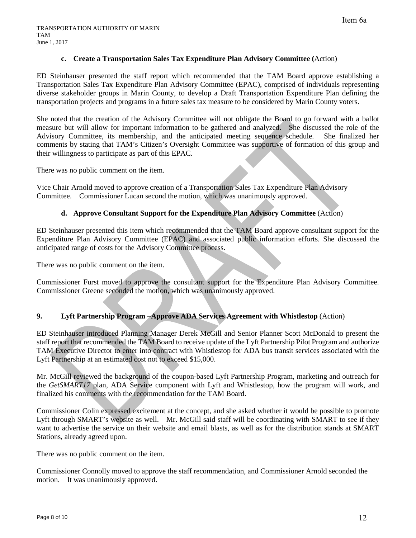### **c. Create a Transportation Sales Tax Expenditure Plan Advisory Committee (**Action)

ED Steinhauser presented the staff report which recommended that the TAM Board approve establishing a Transportation Sales Tax Expenditure Plan Advisory Committee (EPAC), comprised of individuals representing diverse stakeholder groups in Marin County, to develop a Draft Transportation Expenditure Plan defining the transportation projects and programs in a future sales tax measure to be considered by Marin County voters.

She noted that the creation of the Advisory Committee will not obligate the Board to go forward with a ballot measure but will allow for important information to be gathered and analyzed. She discussed the role of the Advisory Committee, its membership, and the anticipated meeting sequence schedule. She finalized her comments by stating that TAM's Citizen's Oversight Committee was supportive of formation of this group and their willingness to participate as part of this EPAC.

There was no public comment on the item.

Vice Chair Arnold moved to approve creation of a Transportation Sales Tax Expenditure Plan Advisory Committee. Commissioner Lucan second the motion, which was unanimously approved.

## **d. Approve Consultant Support for the Expenditure Plan Advisory Committee** (Action)

ED Steinhauser presented this item which recommended that the TAM Board approve consultant support for the Expenditure Plan Advisory Committee (EPAC) and associated public information efforts. She discussed the anticipated range of costs for the Advisory Committee process.

There was no public comment on the item.

Commissioner Furst moved to approve the consultant support for the Expenditure Plan Advisory Committee. Commissioner Greene seconded the motion, which was unanimously approved.

### **9. Lyft Partnership Program –Approve ADA Services Agreement with Whistlestop** (Action)

ED Steinhauser introduced Planning Manager Derek McGill and Senior Planner Scott McDonald to present the staff report that recommended the TAM Board to receive update of the Lyft Partnership Pilot Program and authorize TAM Executive Director to enter into contract with Whistlestop for ADA bus transit services associated with the Lyft Partnership at an estimated cost not to exceed \$15,000.

Mr. McGill reviewed the background of the coupon-based Lyft Partnership Program, marketing and outreach for the *GetSMART17* plan, ADA Service component with Lyft and Whistlestop, how the program will work, and finalized his comments with the recommendation for the TAM Board.

Commissioner Colin expressed excitement at the concept, and she asked whether it would be possible to promote Lyft through SMART's website as well. Mr. McGill said staff will be coordinating with SMART to see if they want to advertise the service on their website and email blasts, as well as for the distribution stands at SMART Stations, already agreed upon.

There was no public comment on the item.

Commissioner Connolly moved to approve the staff recommendation, and Commissioner Arnold seconded the motion. It was unanimously approved.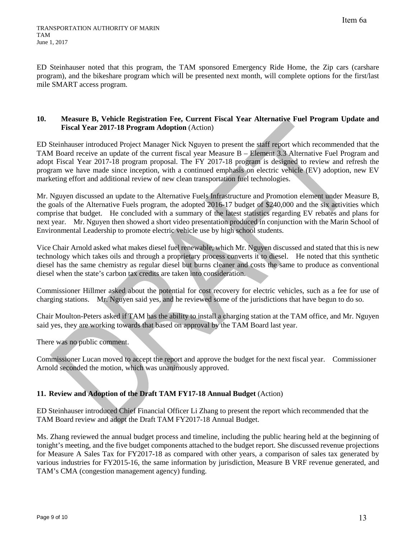ED Steinhauser noted that this program, the TAM sponsored Emergency Ride Home, the Zip cars (carshare program), and the bikeshare program which will be presented next month, will complete options for the first/last mile SMART access program.

### **10. Measure B, Vehicle Registration Fee, Current Fiscal Year Alternative Fuel Program Update and Fiscal Year 2017-18 Program Adoption** (Action)

ED Steinhauser introduced Project Manager Nick Nguyen to present the staff report which recommended that the TAM Board receive an update of the current fiscal year Measure B – Element 3.3 Alternative Fuel Program and adopt Fiscal Year 2017-18 program proposal. The FY 2017-18 program is designed to review and refresh the program we have made since inception, with a continued emphasis on electric vehicle (EV) adoption, new EV marketing effort and additional review of new clean transportation fuel technologies.

Mr. Nguyen discussed an update to the Alternative Fuels Infrastructure and Promotion element under Measure B, the goals of the Alternative Fuels program, the adopted 2016-17 budget of \$240,000 and the six activities which comprise that budget. He concluded with a summary of the latest statistics regarding EV rebates and plans for next year. Mr. Nguyen then showed a short video presentation produced in conjunction with the Marin School of Environmental Leadership to promote electric vehicle use by high school students.

Vice Chair Arnold asked what makes diesel fuel renewable, which Mr. Nguyen discussed and stated that this is new technology which takes oils and through a proprietary process converts it to diesel. He noted that this synthetic diesel has the same chemistry as regular diesel but burns cleaner and costs the same to produce as conventional diesel when the state's carbon tax credits are taken into consideration.

Commissioner Hillmer asked about the potential for cost recovery for electric vehicles, such as a fee for use of charging stations. Mr. Nguyen said yes, and he reviewed some of the jurisdictions that have begun to do so.

Chair Moulton-Peters asked if TAM has the ability to install a charging station at the TAM office, and Mr. Nguyen said yes, they are working towards that based on approval by the TAM Board last year.

There was no public comment.

Commissioner Lucan moved to accept the report and approve the budget for the next fiscal year. Commissioner Arnold seconded the motion, which was unanimously approved.

# **11. Review and Adoption of the Draft TAM FY17-18 Annual Budget** (Action)

ED Steinhauser introduced Chief Financial Officer Li Zhang to present the report which recommended that the TAM Board review and adopt the Draft TAM FY2017-18 Annual Budget.

Ms. Zhang reviewed the annual budget process and timeline, including the public hearing held at the beginning of tonight's meeting, and the five budget components attached to the budget report. She discussed revenue projections for Measure A Sales Tax for FY2017-18 as compared with other years, a comparison of sales tax generated by various industries for FY2015-16, the same information by jurisdiction, Measure B VRF revenue generated, and TAM's CMA (congestion management agency) funding.